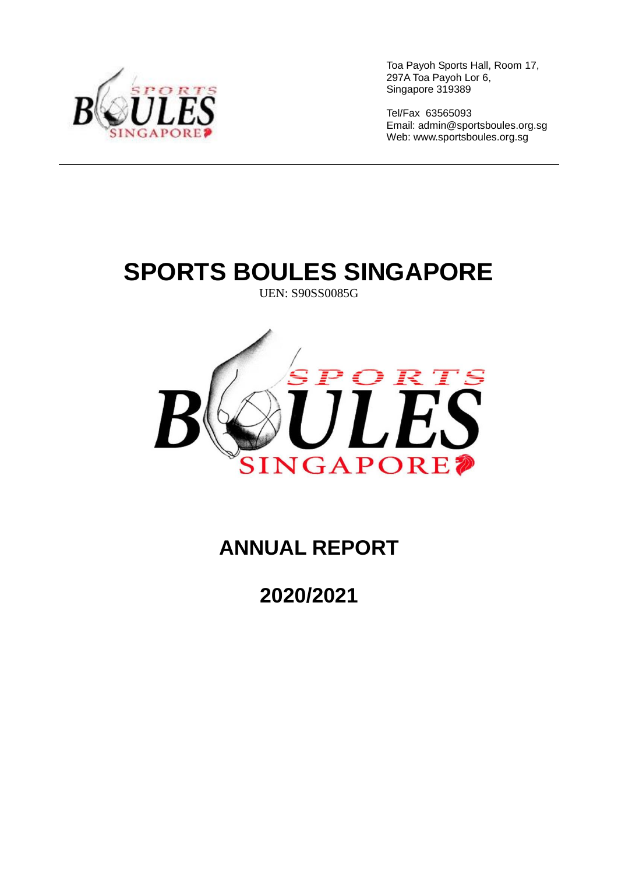

Tel/Fax 63565093 Email: [admin@sportsboules.org.sg](mailto:admin@sportsboules.org.sg) Web: www.sportsboules.org.sg

# **SPORTS BOULES SINGAPORE**

UEN: S90SS0085G



### **ANNUAL REPORT**

**2020/2021**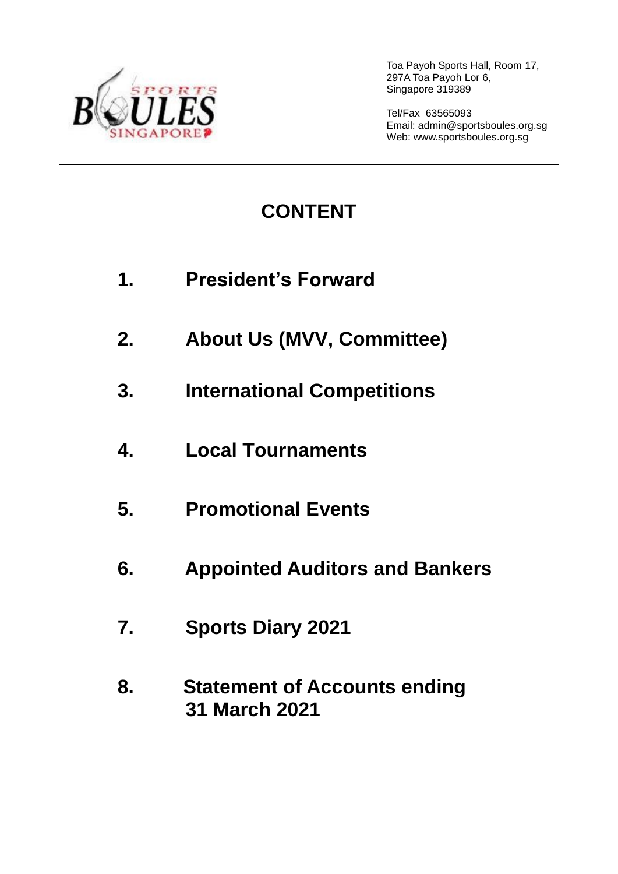

Tel/Fax 63565093 Email: [admin@sportsboules.org.sg](mailto:admin@sportsboules.org.sg) Web: www.sportsboules.org.sg

## **CONTENT**

- **1. President's Forward**
- **2. About Us (MVV, Committee)**
- **3. International Competitions**
- **4. Local Tournaments**
- **5. Promotional Events**
- **6. Appointed Auditors and Bankers**
- **7. Sports Diary 2021**
- **8. Statement of Accounts ending 31 March 2021**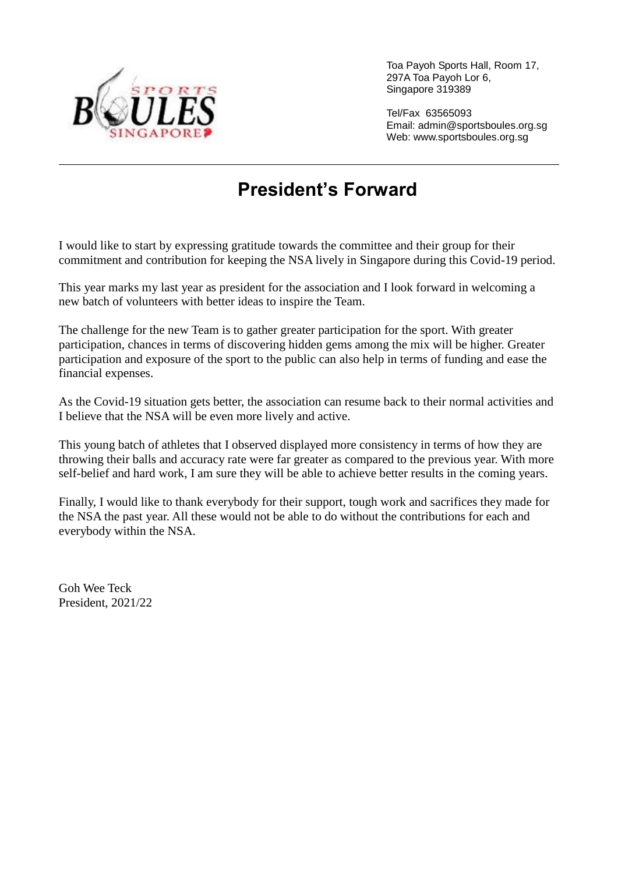

Tel/Fax 63565093 Email: [admin@sportsboules.org.sg](mailto:admin@sportsboules.org.sg) Web: www.sportsboules.org.sg

### **President's Forward**

I would like to start by expressing gratitude towards the committee and their group for their commitment and contribution for keeping the NSA lively in Singapore during this Covid-19 period.

This year marks my last year as president for the association and I look forward in welcoming a new batch of volunteers with better ideas to inspire the Team.

The challenge for the new Team is to gather greater participation for the sport. With greater participation, chances in terms of discovering hidden gems among the mix will be higher. Greater participation and exposure of the sport to the public can also help in terms of funding and ease the financial expenses.

As the Covid-19 situation gets better, the association can resume back to their normal activities and I believe that the NSA will be even more lively and active.

This young batch of athletes that I observed displayed more consistency in terms of how they are throwing their balls and accuracy rate were far greater as compared to the previous year. With more self-belief and hard work, I am sure they will be able to achieve better results in the coming years.

Finally, I would like to thank everybody for their support, tough work and sacrifices they made for the NSA the past year. All these would not be able to do without the contributions for each and everybody within the NSA.

Goh Wee Teck President, 2021/22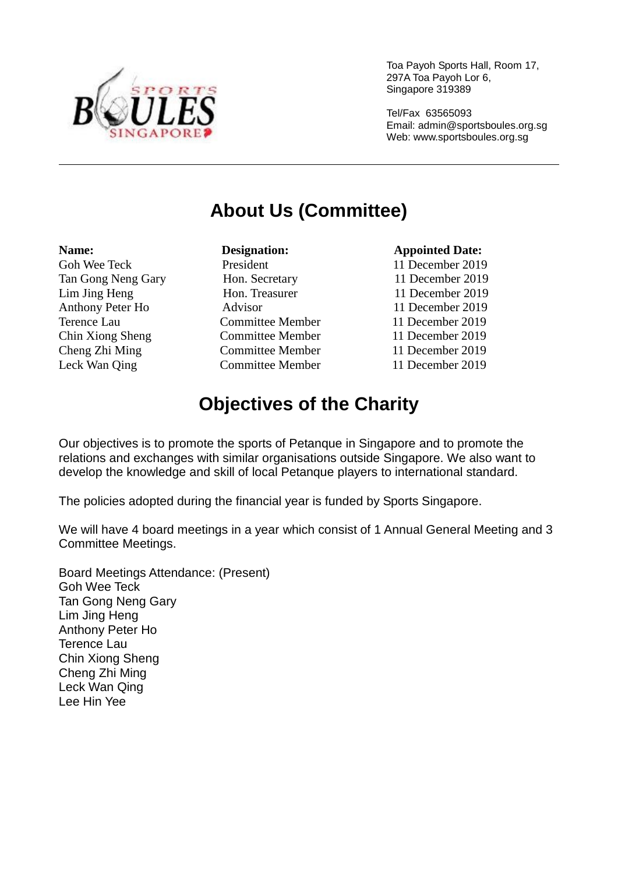

Tel/Fax 63565093 Email: [admin@sportsboules.org.sg](mailto:admin@sportsboules.org.sg) Web: www.sportsboules.org.sg

### **About Us (Committee)**

Leck Wan Qing Committee Member 11 December 2019

Goh Wee Teck President 11 December 2019 Tan Gong Neng Gary Hon. Secretary 11 December 2019 Lim Jing Heng Hon. Treasurer 11 December 2019 Anthony Peter Ho Advisor 11 December 2019 Terence Lau Committee Member 11 December 2019 Chin Xiong Sheng Committee Member 11 December 2019 Cheng Zhi Ming Committee Member 11 December 2019

#### **Name: Constanting Designation: Constanting Appointed Date: Appointed Date:**

### **Objectives of the Charity**

Our objectives is to promote the sports of Petanque in Singapore and to promote the relations and exchanges with similar organisations outside Singapore. We also want to develop the knowledge and skill of local Petanque players to international standard.

The policies adopted during the financial year is funded by Sports Singapore.

We will have 4 board meetings in a year which consist of 1 Annual General Meeting and 3 Committee Meetings.

Board Meetings Attendance: (Present) Goh Wee Teck Tan Gong Neng Gary Lim Jing Heng Anthony Peter Ho Terence Lau Chin Xiong Sheng Cheng Zhi Ming Leck Wan Qing Lee Hin Yee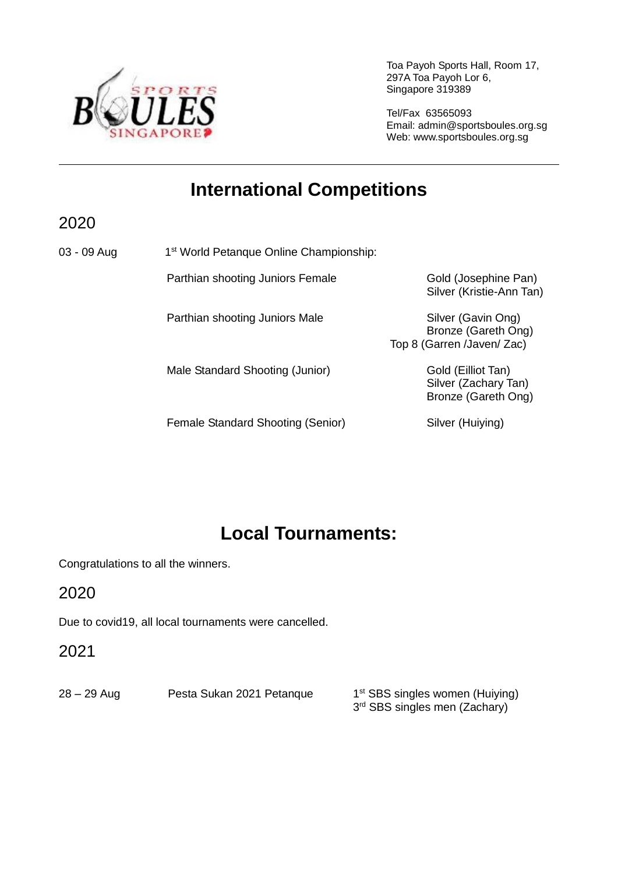

Tel/Fax 63565093 Email: [admin@sportsboules.org.sg](mailto:admin@sportsboules.org.sg) Web: www.sportsboules.org.sg

### **International Competitions**

2020

03 - 09 Aug 1 1<sup>st</sup> World Petanque Online Championship:

Parthian shooting Juniors Female Gold (Josephine Pan)

Parthian shooting Juniors Male Silver (Gavin Ong)

Male Standard Shooting (Junior) Gold (Eilliot Tan)

Female Standard Shooting (Senior) Silver (Huiying)

Silver (Kristie-Ann Tan)

Bronze (Gareth Ong) Top 8 (Garren /Javen/ Zac)

> Silver (Zachary Tan) Bronze (Gareth Ong)

### **Local Tournaments:**

Congratulations to all the winners.

2020

Due to covid19, all local tournaments were cancelled.

2021

28 – 29 Aug Pesta Sukan 2021 Petanque

1<sup>st</sup> SBS singles women (Huiying) 3<sup>rd</sup> SBS singles men (Zachary)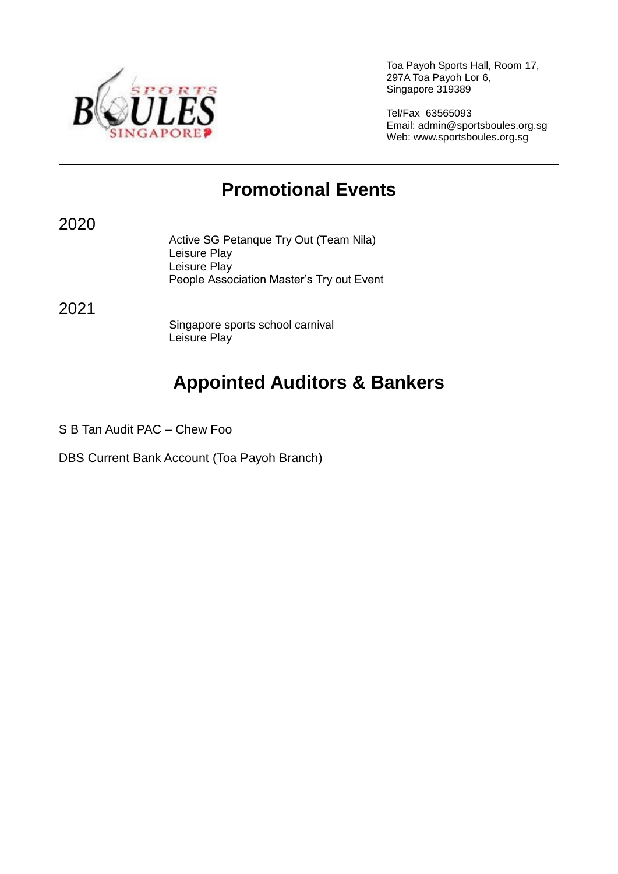

Tel/Fax 63565093 Email: [admin@sportsboules.org.sg](mailto:admin@sportsboules.org.sg) Web: www.sportsboules.org.sg

### **Promotional Events**

2020

Active SG Petanque Try Out (Team Nila) Leisure Play Leisure Play People Association Master's Try out Event

2021

Singapore sports school carnival Leisure Play

### **Appointed Auditors & Bankers**

S B Tan Audit PAC – Chew Foo

DBS Current Bank Account (Toa Payoh Branch)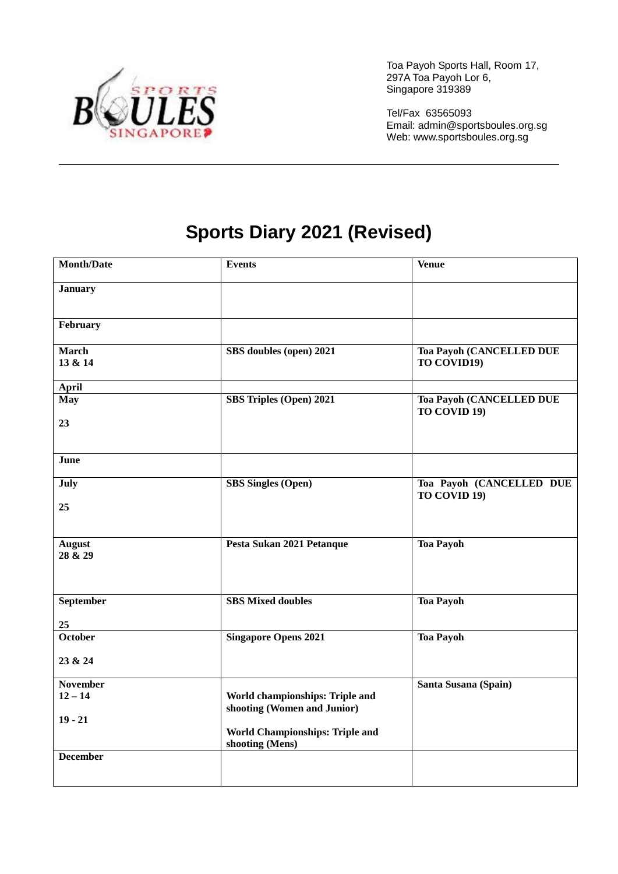

Tel/Fax 63565093 Email: [admin@sportsboules.org.sg](mailto:admin@sportsboules.org.sg) Web: www.sportsboules.org.sg

### **Sports Diary 2021 (Revised)**

| <b>Month/Date</b>        | <b>Events</b>                                                  | <b>Venue</b>                                    |  |
|--------------------------|----------------------------------------------------------------|-------------------------------------------------|--|
| <b>January</b>           |                                                                |                                                 |  |
| February                 |                                                                |                                                 |  |
| <b>March</b><br>13 & 14  | SBS doubles (open) 2021                                        | Toa Payoh (CANCELLED DUE<br>TO COVID19)         |  |
| <b>April</b>             |                                                                |                                                 |  |
| <b>May</b>               | <b>SBS Triples (Open) 2021</b>                                 | <b>Toa Payoh (CANCELLED DUE</b><br>TO COVID 19) |  |
| 23                       |                                                                |                                                 |  |
| June                     |                                                                |                                                 |  |
| July                     | <b>SBS</b> Singles (Open)                                      | Toa Payoh (CANCELLED DUE<br>TO COVID 19)        |  |
| 25                       |                                                                |                                                 |  |
| <b>August</b><br>28 & 29 | Pesta Sukan 2021 Petanque                                      | <b>Toa Payoh</b>                                |  |
| September                | <b>SBS Mixed doubles</b>                                       | <b>Toa Payoh</b>                                |  |
| 25                       |                                                                |                                                 |  |
| <b>October</b>           | <b>Singapore Opens 2021</b>                                    | <b>Toa Payoh</b>                                |  |
| 23 & 24                  |                                                                |                                                 |  |
| <b>November</b>          |                                                                | Santa Susana (Spain)                            |  |
| $12 - 14$                | World championships: Triple and<br>shooting (Women and Junior) |                                                 |  |
| $19 - 21$                |                                                                |                                                 |  |
|                          | World Championships: Triple and<br>shooting (Mens)             |                                                 |  |
| <b>December</b>          |                                                                |                                                 |  |
|                          |                                                                |                                                 |  |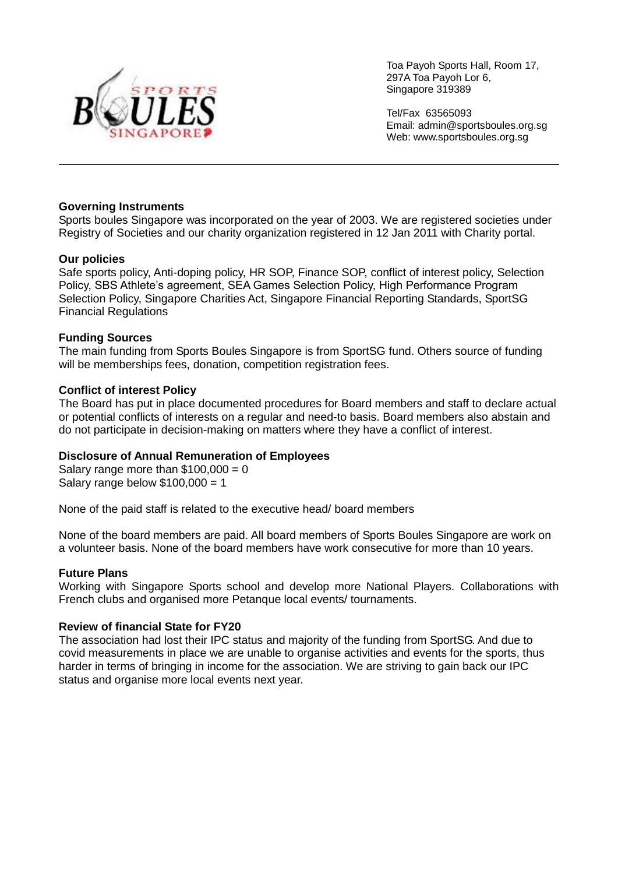

Tel/Fax 63565093 Email: [admin@sportsboules.org.sg](mailto:admin@sportsboules.org.sg) Web: www.sportsboules.org.sg

#### **Governing Instruments**

Sports boules Singapore was incorporated on the year of 2003. We are registered societies under Registry of Societies and our charity organization registered in 12 Jan 2011 with Charity portal.

#### **Our policies**

Safe sports policy, Anti-doping policy, HR SOP, Finance SOP, conflict of interest policy, Selection Policy, SBS Athlete's agreement, SEA Games Selection Policy, High Performance Program Selection Policy, Singapore Charities Act, Singapore Financial Reporting Standards, SportSG Financial Regulations

#### **Funding Sources**

The main funding from Sports Boules Singapore is from SportSG fund. Others source of funding will be memberships fees, donation, competition registration fees.

#### **Conflict of interest Policy**

The Board has put in place documented procedures for Board members and staff to declare actual or potential conflicts of interests on a regular and need-to basis. Board members also abstain and do not participate in decision-making on matters where they have a conflict of interest.

#### **Disclosure of Annual Remuneration of Employees**

Salary range more than  $$100,000 = 0$ Salary range below  $$100,000 = 1$ 

None of the paid staff is related to the executive head/ board members

None of the board members are paid. All board members of Sports Boules Singapore are work on a volunteer basis. None of the board members have work consecutive for more than 10 years.

#### **Future Plans**

Working with Singapore Sports school and develop more National Players. Collaborations with French clubs and organised more Petanque local events/ tournaments.

#### **Review of financial State for FY20**

The association had lost their IPC status and majority of the funding from SportSG. And due to covid measurements in place we are unable to organise activities and events for the sports, thus harder in terms of bringing in income for the association. We are striving to gain back our IPC status and organise more local events next year.